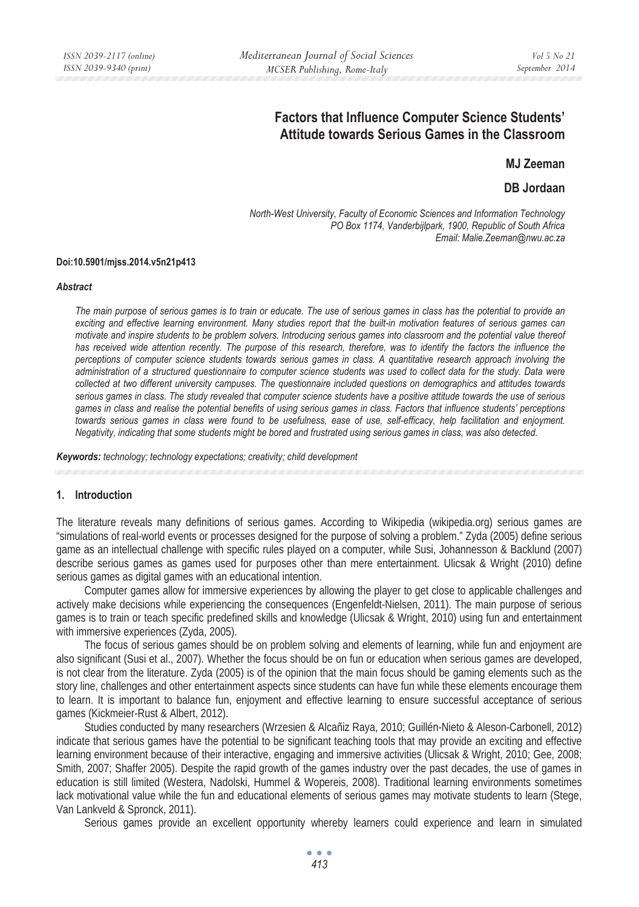## **Factors that Influence Computer Science Students' Attitude towards Serious Games in the Classroom**

**MJ Zeeman** 

**DB Jordaan** 

*North-West University, Faculty of Economic Sciences and Information Technology PO Box 1174, Vanderbijlpark, 1900, Republic of South Africa Email: Malie.Zeeman@nwu.ac.za* 

#### **Doi:10.5901/mjss.2014.v5n21p413**

#### *Abstract*

*The main purpose of serious games is to train or educate. The use of serious games in class has the potential to provide an exciting and effective learning environment. Many studies report that the built-in motivation features of serious games can motivate and inspire students to be problem solvers. Introducing serious games into classroom and the potential value thereof*  has received wide attention recently. The purpose of this research, therefore, was to identify the factors the influence the *perceptions of computer science students towards serious games in class. A quantitative research approach involving the administration of a structured questionnaire to computer science students was used to collect data for the study. Data were collected at two different university campuses. The questionnaire included questions on demographics and attitudes towards serious games in class. The study revealed that computer science students have a positive attitude towards the use of serious games in class and realise the potential benefits of using serious games in class. Factors that influence students' perceptions towards serious games in class were found to be usefulness, ease of use, self-efficacy, help facilitation and enjoyment. Negativity, indicating that some students might be bored and frustrated using serious games in class, was also detected.* 

*Keywords: technology; technology expectations; creativity; child development*

#### **1. Introduction**

The literature reveals many definitions of serious games. According to Wikipedia (wikipedia.org) serious games are "simulations of real-world events or processes designed for the purpose of solving a problem." Zyda (2005) define serious game as an intellectual challenge with specific rules played on a computer, while Susi, Johannesson & Backlund (2007) describe serious games as games used for purposes other than mere entertainment. Ulicsak & Wright (2010) define serious games as digital games with an educational intention.

Computer games allow for immersive experiences by allowing the player to get close to applicable challenges and actively make decisions while experiencing the consequences (Engenfeldt-Nielsen, 2011). The main purpose of serious games is to train or teach specific predefined skills and knowledge (Ulicsak & Wright, 2010) using fun and entertainment with immersive experiences (Zyda, 2005).

The focus of serious games should be on problem solving and elements of learning, while fun and enjoyment are also significant (Susi et al., 2007). Whether the focus should be on fun or education when serious games are developed, is not clear from the literature. Zyda (2005) is of the opinion that the main focus should be gaming elements such as the story line, challenges and other entertainment aspects since students can have fun while these elements encourage them to learn. It is important to balance fun, enjoyment and effective learning to ensure successful acceptance of serious games (Kickmeier-Rust & Albert, 2012).

Studies conducted by many researchers (Wrzesien & Alcañiz Raya, 2010; Guillén-Nieto & Aleson-Carbonell, 2012) indicate that serious games have the potential to be significant teaching tools that may provide an exciting and effective learning environment because of their interactive, engaging and immersive activities (Ulicsak & Wright, 2010; Gee, 2008; Smith, 2007; Shaffer 2005). Despite the rapid growth of the games industry over the past decades, the use of games in education is still limited (Westera, Nadolski, Hummel & Wopereis, 2008). Traditional learning environments sometimes lack motivational value while the fun and educational elements of serious games may motivate students to learn (Stege, Van Lankveld & Spronck, 2011).

Serious games provide an excellent opportunity whereby learners could experience and learn in simulated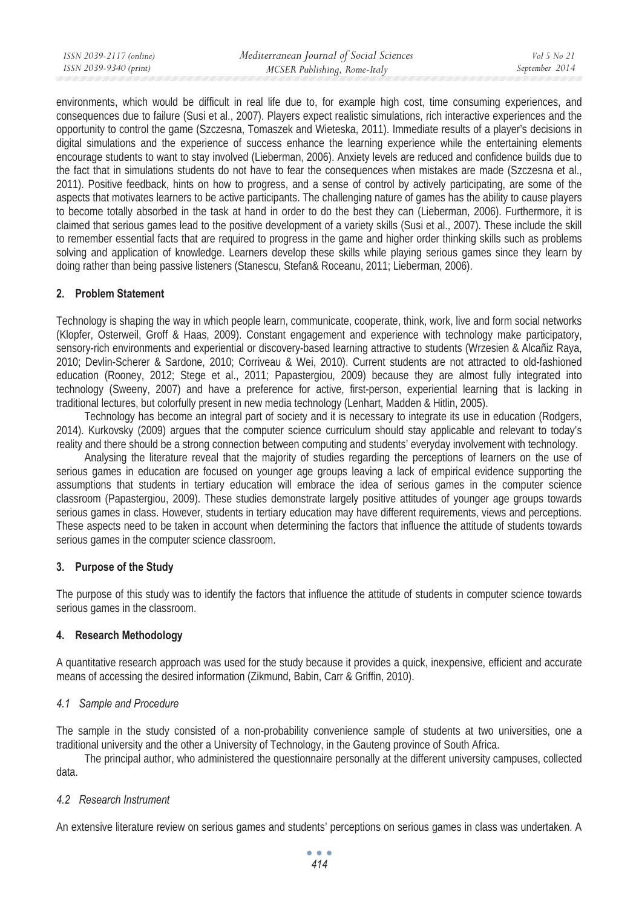environments, which would be difficult in real life due to, for example high cost, time consuming experiences, and consequences due to failure (Susi et al., 2007). Players expect realistic simulations, rich interactive experiences and the opportunity to control the game (Szczesna, Tomaszek and Wieteska, 2011). Immediate results of a player's decisions in digital simulations and the experience of success enhance the learning experience while the entertaining elements encourage students to want to stay involved (Lieberman, 2006). Anxiety levels are reduced and confidence builds due to the fact that in simulations students do not have to fear the consequences when mistakes are made (Szczesna et al., 2011). Positive feedback, hints on how to progress, and a sense of control by actively participating, are some of the aspects that motivates learners to be active participants. The challenging nature of games has the ability to cause players to become totally absorbed in the task at hand in order to do the best they can (Lieberman, 2006). Furthermore, it is claimed that serious games lead to the positive development of a variety skills (Susi et al., 2007). These include the skill to remember essential facts that are required to progress in the game and higher order thinking skills such as problems solving and application of knowledge. Learners develop these skills while playing serious games since they learn by doing rather than being passive listeners (Stanescu, Stefan& Roceanu, 2011; Lieberman, 2006).

## **2. Problem Statement**

Technology is shaping the way in which people learn, communicate, cooperate, think, work, live and form social networks (Klopfer, Osterweil, Groff & Haas, 2009). Constant engagement and experience with technology make participatory, sensory-rich environments and experiential or discovery-based learning attractive to students (Wrzesien & Alcañiz Raya, 2010; Devlin-Scherer & Sardone, 2010; Corriveau & Wei, 2010). Current students are not attracted to old-fashioned education (Rooney, 2012; Stege et al., 2011; Papastergiou, 2009) because they are almost fully integrated into technology (Sweeny, 2007) and have a preference for active, first-person, experiential learning that is lacking in traditional lectures, but colorfully present in new media technology (Lenhart, Madden & Hitlin, 2005).

Technology has become an integral part of society and it is necessary to integrate its use in education (Rodgers, 2014). Kurkovsky (2009) argues that the computer science curriculum should stay applicable and relevant to today's reality and there should be a strong connection between computing and students' everyday involvement with technology.

Analysing the literature reveal that the majority of studies regarding the perceptions of learners on the use of serious games in education are focused on younger age groups leaving a lack of empirical evidence supporting the assumptions that students in tertiary education will embrace the idea of serious games in the computer science classroom (Papastergiou, 2009). These studies demonstrate largely positive attitudes of younger age groups towards serious games in class. However, students in tertiary education may have different requirements, views and perceptions. These aspects need to be taken in account when determining the factors that influence the attitude of students towards serious games in the computer science classroom.

## **3. Purpose of the Study**

The purpose of this study was to identify the factors that influence the attitude of students in computer science towards serious games in the classroom.

#### **4. Research Methodology**

A quantitative research approach was used for the study because it provides a quick, inexpensive, efficient and accurate means of accessing the desired information (Zikmund, Babin, Carr & Griffin, 2010).

#### *4.1 Sample and Procedure*

The sample in the study consisted of a non-probability convenience sample of students at two universities, one a traditional university and the other a University of Technology, in the Gauteng province of South Africa.

The principal author, who administered the questionnaire personally at the different university campuses, collected data.

#### *4.2 Research Instrument*

An extensive literature review on serious games and students' perceptions on serious games in class was undertaken. A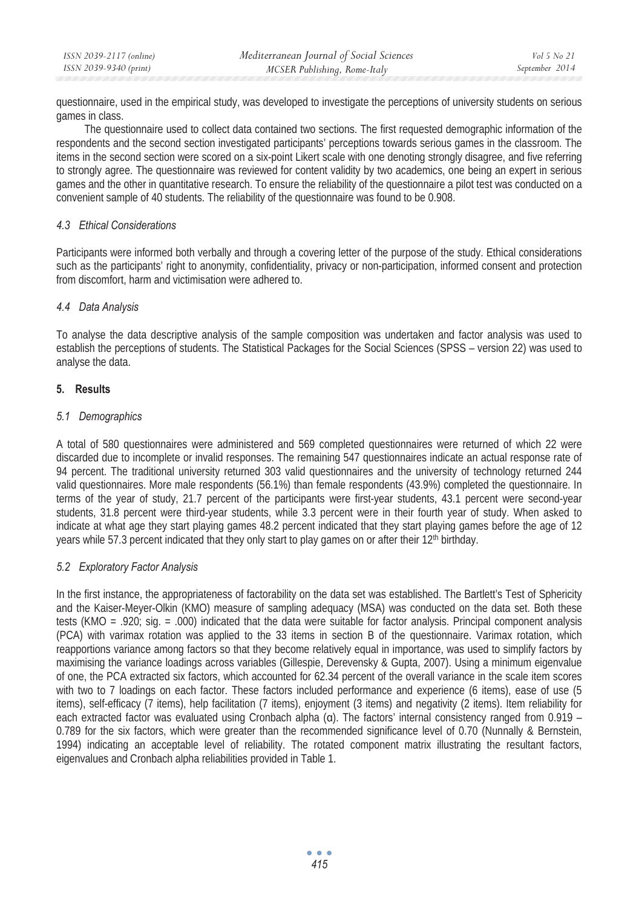| ISSN 2039-2117 (online) | Mediterranean Journal of Social Sciences | Vol 5 No 21    |
|-------------------------|------------------------------------------|----------------|
| ISSN 2039-9340 (print)  | MCSER Publishing, Rome-Italy             | September 2014 |

questionnaire, used in the empirical study, was developed to investigate the perceptions of university students on serious games in class.

The questionnaire used to collect data contained two sections. The first requested demographic information of the respondents and the second section investigated participants' perceptions towards serious games in the classroom. The items in the second section were scored on a six-point Likert scale with one denoting strongly disagree, and five referring to strongly agree. The questionnaire was reviewed for content validity by two academics, one being an expert in serious games and the other in quantitative research. To ensure the reliability of the questionnaire a pilot test was conducted on a convenient sample of 40 students. The reliability of the questionnaire was found to be 0.908.

#### *4.3 Ethical Considerations*

Participants were informed both verbally and through a covering letter of the purpose of the study. Ethical considerations such as the participants' right to anonymity, confidentiality, privacy or non-participation, informed consent and protection from discomfort, harm and victimisation were adhered to.

## *4.4 Data Analysis*

To analyse the data descriptive analysis of the sample composition was undertaken and factor analysis was used to establish the perceptions of students. The Statistical Packages for the Social Sciences (SPSS – version 22) was used to analyse the data.

## **5. Results**

## *5.1 Demographics*

A total of 580 questionnaires were administered and 569 completed questionnaires were returned of which 22 were discarded due to incomplete or invalid responses. The remaining 547 questionnaires indicate an actual response rate of 94 percent. The traditional university returned 303 valid questionnaires and the university of technology returned 244 valid questionnaires. More male respondents (56.1%) than female respondents (43.9%) completed the questionnaire. In terms of the year of study, 21.7 percent of the participants were first-year students, 43.1 percent were second-year students, 31.8 percent were third-year students, while 3.3 percent were in their fourth year of study. When asked to indicate at what age they start playing games 48.2 percent indicated that they start playing games before the age of 12 years while 57.3 percent indicated that they only start to play games on or after their 12<sup>th</sup> birthday.

## *5.2 Exploratory Factor Analysis*

In the first instance, the appropriateness of factorability on the data set was established. The Bartlett's Test of Sphericity and the Kaiser-Meyer-Olkin (KMO) measure of sampling adequacy (MSA) was conducted on the data set. Both these tests (KMO = .920; sig. = .000) indicated that the data were suitable for factor analysis. Principal component analysis (PCA) with varimax rotation was applied to the 33 items in section B of the questionnaire. Varimax rotation, which reapportions variance among factors so that they become relatively equal in importance, was used to simplify factors by maximising the variance loadings across variables (Gillespie, Derevensky & Gupta, 2007). Using a minimum eigenvalue of one, the PCA extracted six factors, which accounted for 62.34 percent of the overall variance in the scale item scores with two to 7 loadings on each factor. These factors included performance and experience (6 items), ease of use (5 items), self-efficacy (7 items), help facilitation (7 items), enjoyment (3 items) and negativity (2 items). Item reliability for each extracted factor was evaluated using Cronbach alpha  $\alpha$ ). The factors' internal consistency ranged from 0.919 – 0.789 for the six factors, which were greater than the recommended significance level of 0.70 (Nunnally & Bernstein, 1994) indicating an acceptable level of reliability. The rotated component matrix illustrating the resultant factors, eigenvalues and Cronbach alpha reliabilities provided in Table 1.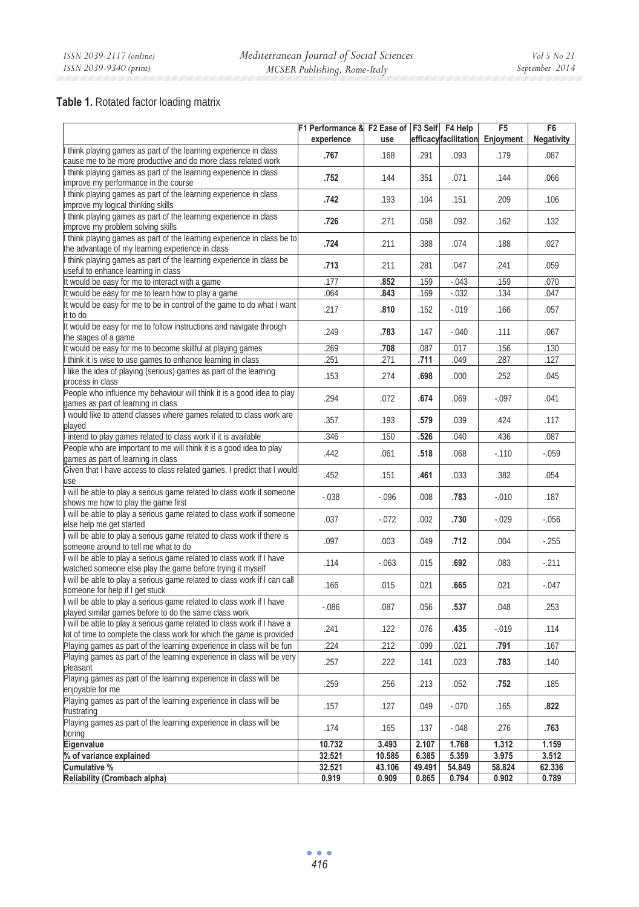# **Table 1.** Rotated factor loading matrix

|                                                                                                                                                | F1 Performance & F2 Ease of F3 Self F4 Help<br>experience | use          |              | efficacyfacilitation | F5<br>Enjoyment | F <sub>6</sub><br>Negativity |
|------------------------------------------------------------------------------------------------------------------------------------------------|-----------------------------------------------------------|--------------|--------------|----------------------|-----------------|------------------------------|
| I think playing games as part of the learning experience in class<br>cause me to be more productive and do more class related work             | .767                                                      | .168         | .291         | .093                 | .179            | .087                         |
| think playing games as part of the learning experience in class                                                                                | .752                                                      | .144         | .351         | .071                 | .144            | .066                         |
| improve my performance in the course<br>think playing games as part of the learning experience in class                                        | .742                                                      | .193         | .104         | .151                 | .209            | .106                         |
| improve my logical thinking skills<br>think playing games as part of the learning experience in class                                          | .726                                                      | .271         | .058         | .092                 | .162            | .132                         |
| improve my problem solving skills<br>I think playing games as part of the learning experience in class be to                                   | .724                                                      | .211         | .388         | .074                 | .188            | .027                         |
| the advantage of my learning experience in class<br>I think playing games as part of the learning experience in class be                       |                                                           |              |              |                      |                 |                              |
| useful to enhance learning in class<br>It would be easy for me to interact with a game                                                         | .713<br>.177                                              | .211<br>.852 | .281<br>.159 | .047<br>$-043$       | .241<br>.159    | .059<br>.070                 |
| It would be easy for me to learn how to play a game                                                                                            | .064                                                      | .843         | .169         | $-0.032$             | .134            | .047                         |
|                                                                                                                                                |                                                           |              |              |                      |                 |                              |
| It would be easy for me to be in control of the game to do what I want<br>it to do                                                             | .217                                                      | .810         | .152         | $-0.019$             | .166            | .057                         |
| It would be easy for me to follow instructions and navigate through<br>the stages of a game                                                    | .249                                                      | .783         | .147         | $-0.040$             | .111            | .067                         |
| It would be easy for me to become skillful at playing games                                                                                    | 269                                                       | .708         | .087         | .017                 | .156            | .130                         |
| think it is wise to use games to enhance learning in class                                                                                     | 251                                                       | 271          | .711         | .049                 | .287            | .127                         |
| I like the idea of playing (serious) games as part of the learning<br>process in class                                                         | .153                                                      | .274         | .698         | .000                 | .252            | .045                         |
| People who influence my behaviour will think it is a good idea to play<br>games as part of learning in class                                   | .294                                                      | .072         | .674         | .069                 | $-.097$         | .041                         |
| would like to attend classes where games related to class work are<br>played                                                                   | .357                                                      | .193         | .579         | .039                 | .424            | .117                         |
| I intend to play games related to class work if it is available                                                                                | 346                                                       | .150         | .526         | .040                 | .436            | .087                         |
| People who are important to me will think it is a good idea to play<br>games as part of learning in class                                      | .442                                                      | .061         | .518         | .068                 | $-110$          | $-.059$                      |
| Given that I have access to class related games, I predict that I would<br>use                                                                 | .452                                                      | .151         | .461         | .033                 | .382            | .054                         |
| will be able to play a serious game related to class work if someone                                                                           | $-.038$                                                   | $-0.096$     | .008         | .783                 | $-.010$         | .187                         |
| shows me how to play the game first<br>will be able to play a serious game related to class work if someone                                    | .037                                                      | $-.072$      | .002         | .730                 | $-.029$         | $-0.056$                     |
| else help me get started<br>will be able to play a serious game related to class work if there is                                              | .097                                                      | .003         | .049         | .712                 | .004            | $-255$                       |
| someone around to tell me what to do<br>will be able to play a serious game related to class work if I have                                    |                                                           |              |              |                      |                 |                              |
| watched someone else play the game before trying it myself                                                                                     | .114                                                      | $-063$       | .015         | .692                 | .083            | $-211$                       |
| will be able to play a serious game related to class work if I can call<br>someone for help if I get stuck                                     | .166                                                      | .015         | .021         | .665                 | .021            | $-.047$                      |
| will be able to play a serious game related to class work if I have<br>played similar games before to do the same class work                   | $-0.086$                                                  | .087         | .056         | .537                 | .048            | .253                         |
| will be able to play a serious game related to class work if I have a<br>lot of time to complete the class work for which the game is provided | .241                                                      | .122         | .076         | .435                 | $-.019$         | .114                         |
| Playing games as part of the learning experience in class will be fun                                                                          | .224                                                      | 212          | .099         | .021                 | .791            | .167                         |
| Playing games as part of the learning experience in class will be very<br>pleasant                                                             | .257                                                      | .222         | .141         | .023                 | .783            | .140                         |
| Playing games as part of the learning experience in class will be<br>enjoyable for me                                                          | .259                                                      | .256         | .213         | .052                 | .752            | .185                         |
| Playing games as part of the learning experience in class will be<br>frustrating                                                               | .157                                                      | .127         | .049         | $-0.070$             | .165            | .822                         |
| Playing games as part of the learning experience in class will be<br>boring                                                                    | .174                                                      | .165         | .137         | $-.048$              | .276            | .763                         |
| Eigenvalue                                                                                                                                     | 10.732                                                    | 3.493        | 2.107        | 1.768                | 1.312           | 1.159                        |
| % of variance explained                                                                                                                        | 32.521                                                    | 10.585       | 6.385        | 5.359                | 3.975           | 3.512                        |
| Cumulative %                                                                                                                                   | 32.521                                                    | 43.106       | 49.491       | 54.849               | 58.824          | 62.336                       |
| Reliability (Crombach alpha)                                                                                                                   | 0.919                                                     | 0.909        | 0.865        | 0.794                | 0.902           | 0.789                        |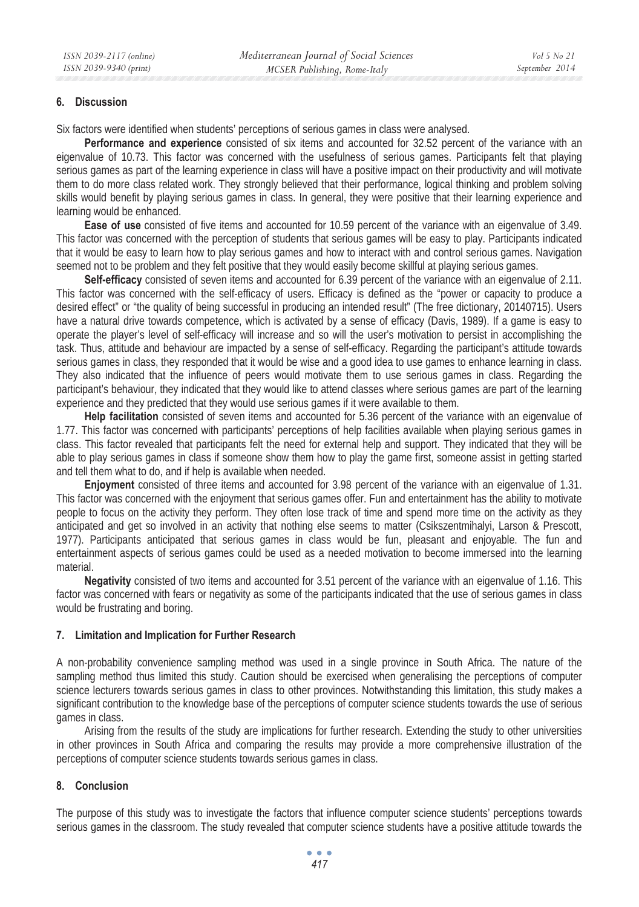## **6. Discussion**

Six factors were identified when students' perceptions of serious games in class were analysed.

**Performance and experience** consisted of six items and accounted for 32.52 percent of the variance with an eigenvalue of 10.73. This factor was concerned with the usefulness of serious games. Participants felt that playing serious games as part of the learning experience in class will have a positive impact on their productivity and will motivate them to do more class related work. They strongly believed that their performance, logical thinking and problem solving skills would benefit by playing serious games in class. In general, they were positive that their learning experience and learning would be enhanced.

**Ease of use** consisted of five items and accounted for 10.59 percent of the variance with an eigenvalue of 3.49. This factor was concerned with the perception of students that serious games will be easy to play. Participants indicated that it would be easy to learn how to play serious games and how to interact with and control serious games. Navigation seemed not to be problem and they felt positive that they would easily become skillful at playing serious games.

**Self-efficacy** consisted of seven items and accounted for 6.39 percent of the variance with an eigenvalue of 2.11. This factor was concerned with the self-efficacy of users. Efficacy is defined as the "power or capacity to produce a desired effect" or "the quality of being successful in producing an intended result" (The free dictionary, 20140715). Users have a natural drive towards competence, which is activated by a sense of efficacy (Davis, 1989). If a game is easy to operate the player's level of self-efficacy will increase and so will the user's motivation to persist in accomplishing the task. Thus, attitude and behaviour are impacted by a sense of self-efficacy. Regarding the participant's attitude towards serious games in class, they responded that it would be wise and a good idea to use games to enhance learning in class. They also indicated that the influence of peers would motivate them to use serious games in class. Regarding the participant's behaviour, they indicated that they would like to attend classes where serious games are part of the learning experience and they predicted that they would use serious games if it were available to them.

**Help facilitation** consisted of seven items and accounted for 5.36 percent of the variance with an eigenvalue of 1.77. This factor was concerned with participants' perceptions of help facilities available when playing serious games in class. This factor revealed that participants felt the need for external help and support. They indicated that they will be able to play serious games in class if someone show them how to play the game first, someone assist in getting started and tell them what to do, and if help is available when needed.

**Enjoyment** consisted of three items and accounted for 3.98 percent of the variance with an eigenvalue of 1.31. This factor was concerned with the enjoyment that serious games offer. Fun and entertainment has the ability to motivate people to focus on the activity they perform. They often lose track of time and spend more time on the activity as they anticipated and get so involved in an activity that nothing else seems to matter (Csikszentmihalyi, Larson & Prescott, 1977). Participants anticipated that serious games in class would be fun, pleasant and enjoyable. The fun and entertainment aspects of serious games could be used as a needed motivation to become immersed into the learning material.

**Negativity** consisted of two items and accounted for 3.51 percent of the variance with an eigenvalue of 1.16. This factor was concerned with fears or negativity as some of the participants indicated that the use of serious games in class would be frustrating and boring.

#### **7. Limitation and Implication for Further Research**

A non-probability convenience sampling method was used in a single province in South Africa. The nature of the sampling method thus limited this study. Caution should be exercised when generalising the perceptions of computer science lecturers towards serious games in class to other provinces. Notwithstanding this limitation, this study makes a significant contribution to the knowledge base of the perceptions of computer science students towards the use of serious games in class.

Arising from the results of the study are implications for further research. Extending the study to other universities in other provinces in South Africa and comparing the results may provide a more comprehensive illustration of the perceptions of computer science students towards serious games in class.

## **8. Conclusion**

The purpose of this study was to investigate the factors that influence computer science students' perceptions towards serious games in the classroom. The study revealed that computer science students have a positive attitude towards the